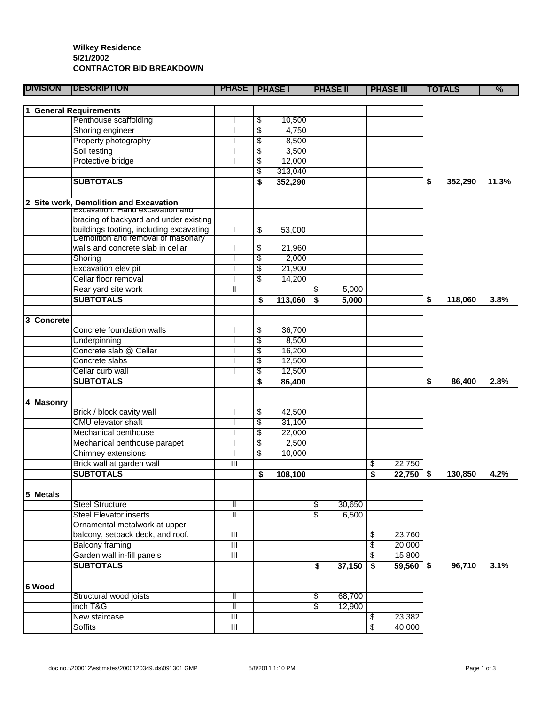## **Wilkey Residence 5/21/2002 CONTRACTOR BID BREAKDOWN**

| <b>DIVISION</b> | <b>IDESCRIPTION</b>                     | <b>PHASE</b>              | <b>PHASE I</b> | <b>PHASE II</b> | <b>PHASE III</b>  |     | <b>TOTALS</b> | $\frac{9}{6}$ |
|-----------------|-----------------------------------------|---------------------------|----------------|-----------------|-------------------|-----|---------------|---------------|
|                 |                                         |                           |                |                 |                   |     |               |               |
|                 | 1 General Requirements                  |                           |                |                 |                   |     |               |               |
|                 | Penthouse scaffolding                   |                           | \$<br>10,500   |                 |                   |     |               |               |
|                 | Shoring engineer                        |                           | \$<br>4,750    |                 |                   |     |               |               |
|                 | Property photography                    |                           | \$<br>8,500    |                 |                   |     |               |               |
|                 | Soil testing                            |                           | \$<br>3,500    |                 |                   |     |               |               |
|                 | Protective bridge                       |                           | \$<br>12,000   |                 |                   |     |               |               |
|                 |                                         |                           | \$<br>313,040  |                 |                   |     |               |               |
|                 | <b>SUBTOTALS</b>                        |                           | \$<br>352,290  |                 |                   | \$  | 352,290       | 11.3%         |
|                 |                                         |                           |                |                 |                   |     |               |               |
|                 | 2 Site work, Demolition and Excavation  |                           |                |                 |                   |     |               |               |
|                 | Excavation: Hang excavation and         |                           |                |                 |                   |     |               |               |
|                 | bracing of backyard and under existing  |                           |                |                 |                   |     |               |               |
|                 | buildings footing, including excavating | ı                         | \$<br>53,000   |                 |                   |     |               |               |
|                 | Demolition and removal of masonary      |                           |                |                 |                   |     |               |               |
|                 | walls and concrete slab in cellar       |                           | \$<br>21,960   |                 |                   |     |               |               |
|                 | Shoring                                 |                           | \$<br>2,000    |                 |                   |     |               |               |
|                 | Excavation elev pit                     |                           | \$<br>21,900   |                 |                   |     |               |               |
|                 | Cellar floor removal                    |                           | \$<br>14,200   |                 |                   |     |               |               |
|                 | Rear yard site work                     | Ш                         |                | \$<br>5,000     |                   |     |               |               |
|                 | <b>SUBTOTALS</b>                        |                           | \$<br>113,060  | \$<br>5,000     |                   | \$  | 118,060       | 3.8%          |
|                 |                                         |                           |                |                 |                   |     |               |               |
| 3 Concrete      |                                         |                           |                |                 |                   |     |               |               |
|                 | Concrete foundation walls               |                           | \$<br>36,700   |                 |                   |     |               |               |
|                 | Underpinning                            |                           | \$<br>8,500    |                 |                   |     |               |               |
|                 | Concrete slab @ Cellar                  |                           | \$<br>16,200   |                 |                   |     |               |               |
|                 | Concrete slabs                          |                           | \$<br>12,500   |                 |                   |     |               |               |
|                 | Cellar curb wall                        |                           | \$<br>12,500   |                 |                   |     |               |               |
|                 | <b>SUBTOTALS</b>                        |                           | \$<br>86,400   |                 |                   | \$  | 86,400        | 2.8%          |
|                 |                                         |                           |                |                 |                   |     |               |               |
| 4 Masonry       |                                         |                           |                |                 |                   |     |               |               |
|                 | Brick / block cavity wall               |                           | \$<br>42,500   |                 |                   |     |               |               |
|                 | <b>CMU</b> elevator shaft               |                           | \$<br>31,100   |                 |                   |     |               |               |
|                 | Mechanical penthouse                    |                           | \$<br>22,000   |                 |                   |     |               |               |
|                 | Mechanical penthouse parapet            |                           | \$<br>2,500    |                 |                   |     |               |               |
|                 | Chimney extensions                      |                           | \$<br>10,000   |                 |                   |     |               |               |
|                 | Brick wall at garden wall               | Ш                         |                |                 | \$<br>22,750      |     |               |               |
|                 | <b>SUBTOTALS</b>                        |                           |                |                 | 22,750            |     | 130,850       | 4.2%          |
|                 |                                         |                           | \$<br>108,100  |                 | \$                | -\$ |               |               |
|                 |                                         |                           |                |                 |                   |     |               |               |
| 5 Metals        | <b>Steel Structure</b>                  |                           |                | 30,650          |                   |     |               |               |
|                 | <b>Steel Elevator inserts</b>           | Ш                         |                | \$              |                   |     |               |               |
|                 |                                         | Π                         |                | \$<br>6,500     |                   |     |               |               |
|                 | Ornamental metalwork at upper           |                           |                |                 |                   |     |               |               |
|                 | balcony, setback deck, and roof.        | Ш                         |                |                 | \$<br>23,760      |     |               |               |
|                 | <b>Balcony framing</b>                  | Ш                         |                |                 | \$<br>20,000      |     |               |               |
|                 | Garden wall in-fill panels              | $\overline{\mathsf{III}}$ |                |                 | \$<br>15,800      |     |               |               |
|                 | <b>SUBTOTALS</b>                        |                           |                | \$<br>37,150    | \$<br>$59,560$ \$ |     | 96,710        | 3.1%          |
|                 |                                         |                           |                |                 |                   |     |               |               |
| 6 Wood          |                                         |                           |                |                 |                   |     |               |               |
|                 | Structural wood joists                  | Ш                         |                | \$<br>68,700    |                   |     |               |               |
|                 | inch T&G                                | Ш                         |                | \$<br>12,900    |                   |     |               |               |
|                 | New staircase                           | Ш                         |                |                 | \$<br>23,382      |     |               |               |
|                 | <b>Soffits</b>                          | $\overline{\mathsf{III}}$ |                |                 | \$<br>40,000      |     |               |               |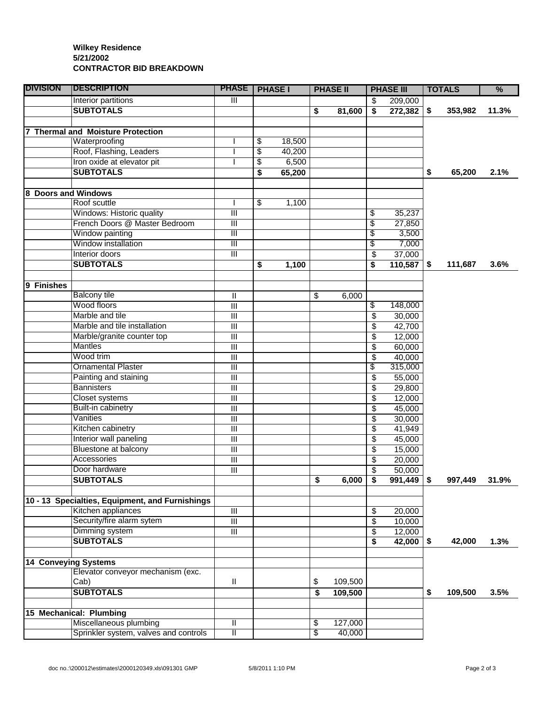## **Wilkey Residence 5/21/2002 CONTRACTOR BID BREAKDOWN**

| <b>DIVISION</b>      | <b>IDESCRIPTION</b>                             | <b>PHASE</b>                                         | <b>PHASE I</b> | <b>PHASE II</b> |         | <b>PHASE III</b>        |                   | <b>TOTALS</b> |         | $\frac{9}{6}$ |
|----------------------|-------------------------------------------------|------------------------------------------------------|----------------|-----------------|---------|-------------------------|-------------------|---------------|---------|---------------|
|                      | Interior partitions                             | $\overline{\mathsf{I}}$                              |                |                 |         | \$                      | 209,000           |               |         |               |
|                      | <b>SUBTOTALS</b>                                |                                                      |                | \$              | 81,600  | $\overline{\mathsf{s}}$ | $272,382$ \$      |               | 353,982 | 11.3%         |
|                      |                                                 |                                                      |                |                 |         |                         |                   |               |         |               |
|                      | <b>Thermal and Moisture Protection</b>          |                                                      |                |                 |         |                         |                   |               |         |               |
|                      | Waterproofing                                   |                                                      | \$<br>18,500   |                 |         |                         |                   |               |         |               |
|                      | Roof, Flashing, Leaders                         |                                                      | \$<br>40,200   |                 |         |                         |                   |               |         |               |
|                      | Iron oxide at elevator pit                      |                                                      | \$<br>6,500    |                 |         |                         |                   |               |         |               |
|                      | <b>SUBTOTALS</b>                                |                                                      | \$<br>65,200   |                 |         |                         |                   | \$            | 65,200  | 2.1%          |
|                      |                                                 |                                                      |                |                 |         |                         |                   |               |         |               |
|                      | 8 Doors and Windows                             |                                                      |                |                 |         |                         |                   |               |         |               |
|                      | Roof scuttle                                    |                                                      | \$<br>1,100    |                 |         |                         |                   |               |         |               |
|                      | Windows: Historic quality                       | $\overline{\mathsf{I}}$                              |                |                 |         | \$                      | 35,237            |               |         |               |
|                      | French Doors @ Master Bedroom                   | Ш                                                    |                |                 |         | \$                      | 27,850            |               |         |               |
|                      | Window painting                                 | $\overline{\mathsf{III}}$                            |                |                 |         | \$                      | 3,500             |               |         |               |
|                      | Window installation                             | $\overline{\mathbb{H}}$                              |                |                 |         | \$                      | 7,000             |               |         |               |
|                      | Interior doors                                  | $\overline{\mathsf{III}}$                            |                |                 |         | \$                      | 37,000            |               |         |               |
|                      | <b>SUBTOTALS</b>                                |                                                      | \$<br>1,100    |                 |         | \$                      | $110,587$ \$      |               | 111,687 | 3.6%          |
|                      |                                                 |                                                      |                |                 |         |                         |                   |               |         |               |
| 9<br><b>Finishes</b> |                                                 |                                                      |                |                 |         |                         |                   |               |         |               |
|                      | <b>Balcony tile</b>                             | Ш                                                    |                | \$              | 6,000   |                         |                   |               |         |               |
|                      | Wood floors<br>Marble and tile                  | $\overline{\mathbb{H}}$                              |                |                 |         | \$                      | 148,000           |               |         |               |
|                      |                                                 | $\overline{\mathsf{III}}$                            |                |                 |         | \$                      | 30,000            |               |         |               |
|                      | Marble and tile installation                    | $\overline{\mathsf{III}}$                            |                |                 |         | \$                      | 42,700            |               |         |               |
|                      | Marble/granite counter top<br><b>Mantles</b>    | $\overline{\mathsf{III}}$<br>$\overline{\mathbb{H}}$ |                |                 |         | \$                      | 12,000            |               |         |               |
|                      | Wood trim                                       |                                                      |                |                 |         | \$                      | 60,000            |               |         |               |
|                      | <b>Ornamental Plaster</b>                       | Ш<br>$\overline{\mathbb{H}}$                         |                |                 |         | \$<br>\$                | 40,000<br>315,000 |               |         |               |
|                      | Painting and staining                           | $\overline{\mathbb{H}}$                              |                |                 |         |                         |                   |               |         |               |
|                      | <b>Bannisters</b>                               | $\overline{\mathbb{H}}$                              |                |                 |         | \$                      | 55,000            |               |         |               |
|                      | <b>Closet systems</b>                           | $\overline{\mathbb{H}}$                              |                |                 |         | \$<br>\$                | 29,800            |               |         |               |
|                      | Built-in cabinetry                              | $\overline{\mathbb{H}}$                              |                |                 |         | \$                      | 12,000<br>45,000  |               |         |               |
|                      | Vanities                                        | $\overline{\mathbb{H}}$                              |                |                 |         | \$                      | 30,000            |               |         |               |
|                      | Kitchen cabinetry                               | $\overline{\mathsf{III}}$                            |                |                 |         | \$                      | 41,949            |               |         |               |
|                      | Interior wall paneling                          | $\overline{\mathbb{H}}$                              |                |                 |         | \$                      | 45,000            |               |         |               |
|                      | Bluestone at balcony                            | $\overline{\mathbb{H}}$                              |                |                 |         | \$                      | 15,000            |               |         |               |
|                      | Accessories                                     | $\overline{\mathbb{H}}$                              |                |                 |         | \$                      | 20,000            |               |         |               |
|                      | Door hardware                                   | $\overline{\mathsf{III}}$                            |                |                 |         | \$                      | 50,000            |               |         |               |
|                      | <b>SUBTOTALS</b>                                |                                                      |                | \$              | 6,000   | \$                      | $991,449$ \$      |               | 997,449 | 31.9%         |
|                      |                                                 |                                                      |                |                 |         |                         |                   |               |         |               |
|                      | 10 - 13 Specialties, Equipment, and Furnishings |                                                      |                |                 |         |                         |                   |               |         |               |
|                      | Kitchen appliances                              | $\overline{\mathbf{m}}$                              |                |                 |         | \$                      | 20,000            |               |         |               |
|                      | Security/fire alarm sytem                       | $\overline{\mathbb{H}}$                              |                |                 |         | \$                      | 10,000            |               |         |               |
|                      | Dimming system                                  | $\overline{\mathsf{III}}$                            |                |                 |         | \$                      | 12,000            |               |         |               |
|                      | <b>SUBTOTALS</b>                                |                                                      |                |                 |         | \$                      | $42,000$ \$       |               | 42,000  | 1.3%          |
|                      |                                                 |                                                      |                |                 |         |                         |                   |               |         |               |
|                      | <b>14 Conveying Systems</b>                     |                                                      |                |                 |         |                         |                   |               |         |               |
|                      | Elevator conveyor mechanism (exc.               |                                                      |                |                 |         |                         |                   |               |         |               |
|                      | Cab)                                            | $\mathbf{II}$                                        |                | \$              | 109,500 |                         |                   |               |         |               |
|                      | <b>SUBTOTALS</b>                                |                                                      |                | \$              | 109,500 |                         |                   | \$            | 109,500 | 3.5%          |
|                      |                                                 |                                                      |                |                 |         |                         |                   |               |         |               |
|                      | 15 Mechanical: Plumbing                         |                                                      |                |                 |         |                         |                   |               |         |               |
|                      | Miscellaneous plumbing                          | Ш                                                    |                | \$              | 127,000 |                         |                   |               |         |               |
|                      | Sprinkler system, valves and controls           | Ш                                                    |                | \$              | 40,000  |                         |                   |               |         |               |